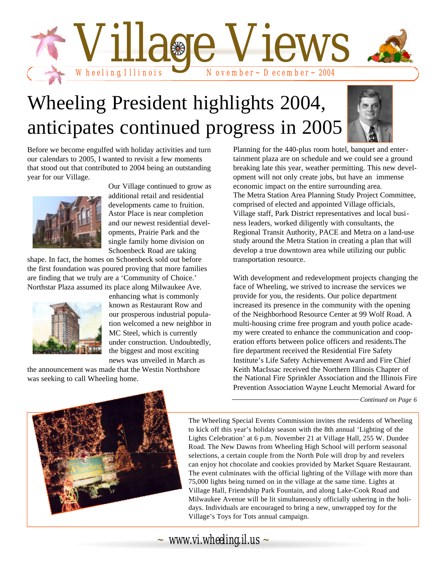

# Wheeling President highlights 2004, anticipates continued progress in 2005



Before we become engulfed with holiday activities and turn our calendars to 2005, I wanted to revisit a few moments that stood out that contributed to 2004 being an outstanding year for our Village.



Our Village continued to grow as additional retail and residential developments came to fruition. Astor Place is near completion and our newest residential developments, Prairie Park and the single family home division on Schoenbeck Road are taking

shape. In fact, the homes on Schoenbeck sold out before the first foundation was poured proving that more families are finding that we truly are a 'Community of Choice.' Northstar Plaza assumed its place along Milwaukee Ave.



enhancing what is commonly known as Restaurant Row and our prosperous industrial population welcomed a new neighbor in MC Steel, which is currently under construction. Undoubtedly, the biggest and most exciting news was unveiled in March as

the announcement was made that the Westin Northshore was seeking to call Wheeling home.

Planning for the 440-plus room hotel, banquet and entertainment plaza are on schedule and we could see a ground breaking late this year, weather permitting. This new development will not only create jobs, but have an immense economic impact on the entire surrounding area. The Metra Station Area Planning Study Project Committee, comprised of elected and appointed Village officials, Village staff, Park District representatives and local business leaders, worked diligently with consultants, the Regional Transit Authority, PACE and Metra on a land-use study around the Metra Station in creating a plan that will develop a true downtown area while utilizing our public transportation resource.

With development and redevelopment projects changing the face of Wheeling, we strived to increase the services we provide for you, the residents. Our police department increased its presence in the community with the opening of the Neighborhood Resource Center at 99 Wolf Road. A multi-housing crime free program and youth police academy were created to enhance the communication and cooperation efforts between police officers and residents.The fire department received the Residential Fire Safety Institute's Life Safety Achievement Award and Fire Chief Keith MacIssac received the Northern Illinois Chapter of the National Fire Sprinkler Association and the Illinois Fire Prevention Association Wayne Leucht Memorial Award for

*Continued on Page 6*



The Wheeling Special Events Commission invites the residents of Wheeling to kick off this year's holiday season with the 8th annual 'Lighting of the Lights Celebration' at 6 p.m. November 21 at Village Hall, 255 W. Dundee Road. The New Dawns from Wheeling High School will perform seasonal selections, a certain couple from the North Pole will drop by and revelers can enjoy hot chocolate and cookies provided by Market Square Restaurant. The event culminates with the official lighting of the Village with more than 75,000 lights being turned on in the village at the same time. Lights at Village Hall, Friendship Park Fountain, and along Lake-Cook Road and Milwaukee Avenue will be lit simultaneously officially ushering in the holidays. Individuals are encouraged to bring a new, unwrapped toy for the Village's Toys for Tots annual campaign.

*~ www.vi.wheeling.il.us ~*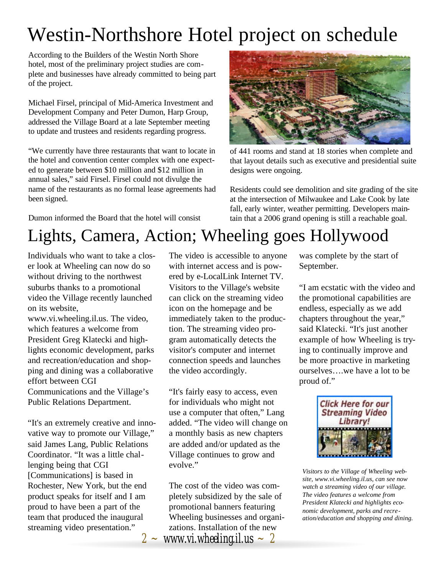## Westin-Northshore Hotel project on schedule

According to the Builders of the Westin North Shore hotel, most of the preliminary project studies are complete and businesses have already committed to being part of the project.

Michael Firsel, principal of Mid-America Investment and Development Company and Peter Dumon, Harp Group, addressed the Village Board at a late September meeting to update and trustees and residents regarding progress.

"We currently have three restaurants that want to locate in the hotel and convention center complex with one expected to generate between \$10 million and \$12 million in annual sales," said Firsel. Firsel could not divulge the name of the restaurants as no formal lease agreements had been signed.

Dumon informed the Board that the hotel will consist



of 441 rooms and stand at 18 stories when complete and that layout details such as executive and presidential suite designs were ongoing.

Residents could see demolition and site grading of the site at the intersection of Milwaukee and Lake Cook by late fall, early winter, weather permitting. Developers maintain that a 2006 grand opening is still a reachable goal.

### Lights, Camera, Action; Wheeling goes Hollywood

Individuals who want to take a closer look at Wheeling can now do so without driving to the northwest suburbs thanks to a promotional video the Village recently launched on its website,

www.vi.wheeling.il.us. The video, which features a welcome from President Greg Klatecki and highlights economic development, parks and recreation/education and shopping and dining was a collaborative effort between CGI Communications and the Village's Public Relations Department.

"It's an extremely creative and innovative way to promote our Village," said James Lang, Public Relations Coordinator. "It was a little challenging being that CGI [Communications] is based in Rochester, New York, but the end product speaks for itself and I am proud to have been a part of the team that produced the inaugural streaming video presentation."

The video is accessible to anyone with internet access and is powered by e-LocalLink Internet TV. Visitors to the Village's website can click on the streaming video icon on the homepage and be immediately taken to the production. The streaming video program automatically detects the visitor's computer and internet connection speeds and launches the video accordingly.

"It's fairly easy to access, even for individuals who might not use a computer that often," Lang added. "The video will change on a monthly basis as new chapters are added and/or updated as the Village continues to grow and evolve."

 $2 \sim$  *www.vi.wheeling.il.us*  $\sim 2$ The cost of the video was completely subsidized by the sale of promotional banners featuring Wheeling businesses and organizations. Installation of the new

was complete by the start of September.

"I am ecstatic with the video and the promotional capabilities are endless, especially as we add chapters throughout the year," said Klatecki. "It's just another example of how Wheeling is trying to continually improve and be more proactive in marketing ourselves….we have a lot to be proud of."



*Visitors to the Village of Wheeling website, www.vi.wheeling.il.us, can see now watch a streaming video of our village. The video features a welcome from President Klatecki and highlights economic development, parks and recreation/education and shopping and dining.*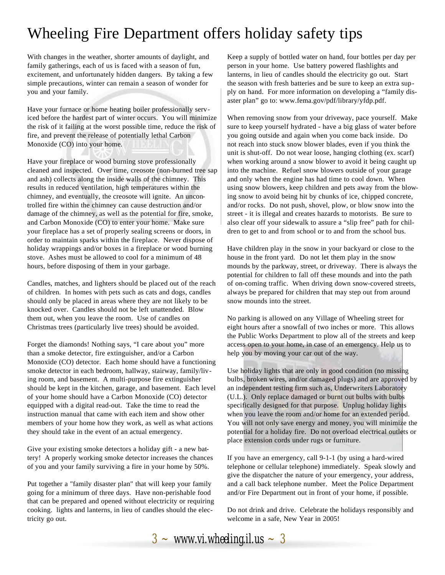### Wheeling Fire Department offers holiday safety tips

With changes in the weather, shorter amounts of daylight, and family gatherings, each of us is faced with a season of fun, excitement, and unfortunately hidden dangers. By taking a few simple precautions, winter can remain a season of wonder for you and your family.

Have your furnace or home heating boiler professionally serviced before the hardest part of winter occurs. You will minimize the risk of it failing at the worst possible time, reduce the risk of fire, and prevent the release of potentially lethal Carbon Monoxide (CO) into your home.

Have your fireplace or wood burning stove professionally cleaned and inspected. Over time, creosote (non-burned tree sap and ash) collects along the inside walls of the chimney. This results in reduced ventilation, high temperatures within the chimney, and eventually, the creosote will ignite. An uncontrolled fire within the chimney can cause destruction and/or damage of the chimney, as well as the potential for fire, smoke, and Carbon Monoxide (CO) to enter your home. Make sure your fireplace has a set of properly sealing screens or doors, in order to maintain sparks within the fireplace. Never dispose of holiday wrappings and/or boxes in a fireplace or wood burning stove. Ashes must be allowed to cool for a minimum of 48 hours, before disposing of them in your garbage.

Candles, matches, and lighters should be placed out of the reach of children. In homes with pets such as cats and dogs, candles should only be placed in areas where they are not likely to be knocked over. Candles should not be left unattended. Blow them out, when you leave the room. Use of candles on Christmas trees (particularly live trees) should be avoided.

Forget the diamonds! Nothing says, "I care about you" more than a smoke detector, fire extinguisher, and/or a Carbon Monoxide (CO) detector. Each home should have a functioning smoke detector in each bedroom, hallway, stairway, family/living room, and basement. A multi-purpose fire extinguisher should be kept in the kitchen, garage, and basement. Each level of your home should have a Carbon Monoxide (CO) detector equipped with a digital read-out. Take the time to read the instruction manual that came with each item and show other members of your home how they work, as well as what actions they should take in the event of an actual emergency.

Give your existing smoke detectors a holiday gift - a new battery! A properly working smoke detector increases the chances of you and your family surviving a fire in your home by 50%.

Put together a "family disaster plan" that will keep your family going for a minimum of three days. Have non-perishable food that can be prepared and opened without electricity or requiring cooking. lights and lanterns, in lieu of candles should the electricity go out.

Keep a supply of bottled water on hand, four bottles per day per person in your home. Use battery powered flashlights and lanterns, in lieu of candles should the electricity go out. Start the season with fresh batteries and be sure to keep an extra supply on hand. For more information on developing a "family disaster plan" go to: www.fema.gov/pdf/library/yfdp.pdf.

When removing snow from your driveway, pace yourself. Make sure to keep yourself hydrated - have a big glass of water before you going outside and again when you come back inside. Do not reach into stuck snow blower blades, even if you think the unit is shut-off. Do not wear loose, hanging clothing (ex. scarf) when working around a snow blower to avoid it being caught up into the machine. Refuel snow blowers outside of your garage and only when the engine has had time to cool down. When using snow blowers, keep children and pets away from the blowing snow to avoid being hit by chunks of ice, chipped concrete, and/or rocks. Do not push, shovel, plow, or blow snow into the street - it is illegal and creates hazards to motorists. Be sure to also clear off your sidewalk to assure a "slip free" path for children to get to and from school or to and from the school bus.

Have children play in the snow in your backyard or close to the house in the front yard. Do not let them play in the snow mounds by the parkway, street, or driveway. There is always the potential for children to fall off these mounds and into the path of on-coming traffic. When driving down snow-covered streets, always be prepared for children that may step out from around snow mounds into the street.

No parking is allowed on any Village of Wheeling street for eight hours after a snowfall of two inches or more. This allows the Public Works Department to plow all of the streets and keep access open to your home, in case of an emergency. Help us to help you by moving your car out of the way.

Use holiday lights that are only in good condition (no missing bulbs, broken wires, and/or damaged plugs) and are approved by an independent testing firm such as, Underwriters Laboratory (U.L.). Only replace damaged or burnt out bulbs with bulbs specifically designed for that purpose. Unplug holiday lights when you leave the room and/or home for an extended period. You will not only save energy and money, you will minimize the potential for a holiday fire. Do not overload electrical outlets or place extension cords under rugs or furniture.

If you have an emergency, call 9-1-1 (by using a hard-wired telephone or cellular telephone) immediately. Speak slowly and give the dispatcher the nature of your emergency, your address, and a call back telephone number. Meet the Police Department and/or Fire Department out in front of your home, if possible.

Do not drink and drive. Celebrate the holidays responsibly and welcome in a safe, New Year in 2005!

 $3 \sim$  *www.vi.wheeling.il.us*  $\sim 3$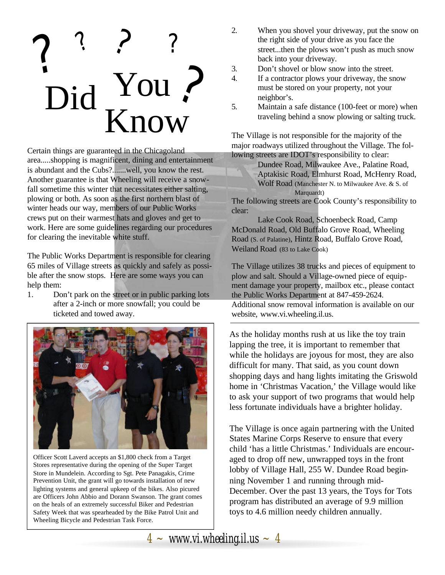## ? ? ? ? ? bid You Know

Certain things are guaranteed in the Chicagoland area.....shopping is magnificent, dining and entertainment is abundant and the Cubs?.......well, you know the rest. Another guarantee is that Wheeling will receive a snowfall sometime this winter that necessitates either salting, plowing or both. As soon as the first northern blast of winter heads our way, members of our Public Works crews put on their warmest hats and gloves and get to work. Here are some guidelines regarding our procedures for clearing the inevitable white stuff.

The Public Works Department is responsible for clearing 65 miles of Village streets as quickly and safely as possible after the snow stops. Here are some ways you can help them:

1. Don't park on the street or in public parking lots after a 2-inch or more snowfall; you could be ticketed and towed away.



Officer Scott Laverd accepts an \$1,800 check from a Target Stores representative during the opening of the Super Target Store in Mundelein. According to Sgt. Pete Panagakis, Crime Prevention Unit, the grant will go towards installation of new lighting systems and general upkeep of the bikes. Also picured are Officers John Abbio and Dorann Swanson. The grant comes on the heals of an extremely successful Biker and Pedestrian Safety Week that was spearheaded by the Bike Patrol Unit and Wheeling Bicycle and Pedestrian Task Force.

- 2. When you shovel your driveway, put the snow on the right side of your drive as you face the street...then the plows won't push as much snow back into your driveway.
- 3. Don't shovel or blow snow into the street.
- 4. If a contractor plows your driveway, the snow must be stored on your property, not your neighbor's.
- 5. Maintain a safe distance (100-feet or more) when traveling behind a snow plowing or salting truck.

The Village is not responsible for the majority of the major roadways utilized throughout the Village. The following streets are IDOT's responsibility to clear:

> Dundee Road, Milwaukee Ave., Palatine Road, Aptakisic Road, Elmhurst Road, McHenry Road, Wolf Road (Manchester N. to Milwaukee Ave. & S. of Marquardt)

The following streets are Cook County's responsibility to clear:

Lake Cook Road, Schoenbeck Road, Camp McDonald Road, Old Buffalo Grove Road, Wheeling Road (S. of Palatine), Hintz Road, Buffalo Grove Road, Weiland Road (83 to Lake Cook)

The Village utilizes 38 trucks and pieces of equipment to plow and salt. Should a Village-owned piece of equipment damage your property, mailbox etc., please contact the Public Works Department at 847-459-2624. Additional snow removal information is available on our website, www.vi.wheeling.il.us.

As the holiday months rush at us like the toy train lapping the tree, it is important to remember that while the holidays are joyous for most, they are also difficult for many. That said, as you count down shopping days and hang lights imitating the Griswold home in 'Christmas Vacation,' the Village would like to ask your support of two programs that would help less fortunate individuals have a brighter holiday.

The Village is once again partnering with the United States Marine Corps Reserve to ensure that every child 'has a little Christmas.' Individuals are encouraged to drop off new, unwrapped toys in the front lobby of Village Hall, 255 W. Dundee Road beginning November 1 and running through mid-December. Over the past 13 years, the Toys for Tots program has distributed an average of 9.9 million toys to 4.6 million needy children annually.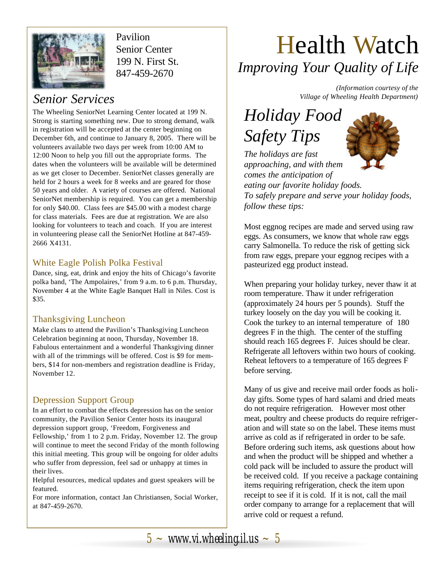

Pavilion Senior Center 199 N. First St. 847-459-2670

The Wheeling SeniorNet Learning Center located at 199 N. Strong is starting something new. Due to strong demand, walk in registration will be accepted at the center beginning on December 6th, and continue to January 8, 2005. There will be volunteers available two days per week from 10:00 AM to 12:00 Noon to help you fill out the appropriate forms. The dates when the volunteers will be available will be determined as we get closer to December. SeniorNet classes generally are held for 2 hours a week for 8 weeks and are geared for those 50 years and older. A variety of courses are offered. National SeniorNet membership is required. You can get a membership for only \$40.00. Class fees are \$45.00 with a modest charge for class materials. Fees are due at registration. We are also looking for volunteers to teach and coach. If you are interest in volunteering please call the SeniorNet Hotline at 847-459- 2666 X4131.

#### White Eagle Polish Polka Festival

Dance, sing, eat, drink and enjoy the hits of Chicago's favorite polka band, 'The Ampolaires,' from 9 a.m. to 6 p.m. Thursday, November 4 at the White Eagle Banquet Hall in Niles. Cost is \$35.

#### Thanksgiving Luncheon

Make clans to attend the Pavilion's Thanksgiving Luncheon Celebration beginning at noon, Thursday, November 18. Fabulous entertainment and a wonderful Thanksgiving dinner with all of the trimmings will be offered. Cost is \$9 for members, \$14 for non-members and registration deadline is Friday, November 12.

### Depression Support Group

In an effort to combat the effects depression has on the senior community, the Pavilion Senior Center hosts its inaugural depression support group, 'Freedom, Forgiveness and Fellowship,' from 1 to 2 p.m. Friday, November 12. The group will continue to meet the second Friday of the month following this initial meeting. This group will be ongoing for older adults who suffer from depression, feel sad or unhappy at times in their lives.

Helpful resources, medical updates and guest speakers will be featured.

For more information, contact Jan Christiansen, Social Worker, at 847-459-2670.

## Health Watch *Improving Your Quality of Life*

*(Information courtesy of the Village of Wheeling Health Department) Senior Services*

### *Holiday Food Safety Tips*



*The holidays are fast approaching, and with them comes the anticipation of eating our favorite holiday foods. To safely prepare and serve your holiday foods, follow these tips:*

Most eggnog recipes are made and served using raw eggs. As consumers, we know that whole raw eggs carry Salmonella. To reduce the risk of getting sick from raw eggs, prepare your eggnog recipes with a pasteurized egg product instead.

When preparing your holiday turkey, never thaw it at room temperature. Thaw it under refrigeration (approximately 24 hours per 5 pounds). Stuff the turkey loosely on the day you will be cooking it. Cook the turkey to an internal temperature of 180 degrees F in the thigh. The center of the stuffing should reach 165 degrees F. Juices should be clear. Refrigerate all leftovers within two hours of cooking. Reheat leftovers to a temperature of 165 degrees F before serving.

Many of us give and receive mail order foods as holiday gifts. Some types of hard salami and dried meats do not require refrigeration. However most other meat, poultry and cheese products do require refrigeration and will state so on the label. These items must arrive as cold as if refrigerated in order to be safe. Before ordering such items, ask questions about how and when the product will be shipped and whether a cold pack will be included to assure the product will be received cold. If you receive a package containing items requiring refrigeration, check the item upon receipt to see if it is cold. If it is not, call the mail order company to arrange for a replacement that will arrive cold or request a refund.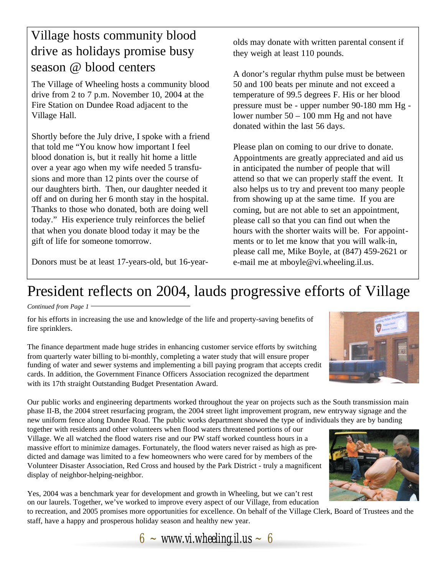### Village hosts community blood drive as holidays promise busy season @ blood centers

The Village of Wheeling hosts a community blood drive from 2 to 7 p.m. November 10, 2004 at the Fire Station on Dundee Road adjacent to the Village Hall.

Shortly before the July drive, I spoke with a friend that told me "You know how important I feel blood donation is, but it really hit home a little over a year ago when my wife needed 5 transfusions and more than 12 pints over the course of our daughters birth. Then, our daughter needed it off and on during her 6 month stay in the hospital. Thanks to those who donated, both are doing well today." His experience truly reinforces the belief that when you donate blood today it may be the gift of life for someone tomorrow.

Donors must be at least 17-years-old, but 16-year-

olds may donate with written parental consent if they weigh at least 110 pounds.

A donor's regular rhythm pulse must be between 50 and 100 beats per minute and not exceed a temperature of 99.5 degrees F. His or her blood pressure must be - upper number 90-180 mm Hg lower number 50 – 100 mm Hg and not have donated within the last 56 days.

Please plan on coming to our drive to donate. Appointments are greatly appreciated and aid us in anticipated the number of people that will attend so that we can properly staff the event. It also helps us to try and prevent too many people from showing up at the same time. If you are coming, but are not able to set an appointment, please call so that you can find out when the hours with the shorter waits will be. For appointments or to let me know that you will walk-in, please call me, Mike Boyle, at (847) 459-2621 or e-mail me at mboyle@vi.wheeling.il.us.

### President reflects on 2004, lauds progressive efforts of Village

#### *Continued from Page 1*

for his efforts in increasing the use and knowledge of the life and property-saving benefits of fire sprinklers.

The finance department made huge strides in enhancing customer service efforts by switching from quarterly water billing to bi-monthly, completing a water study that will ensure proper funding of water and sewer systems and implementing a bill paying program that accepts credit cards. In addition, the Government Finance Officers Association recognized the department with its 17th straight Outstanding Budget Presentation Award.

Our public works and engineering departments worked throughout the year on projects such as the South transmission main phase II-B, the 2004 street resurfacing program, the 2004 street light improvement program, new entryway signage and the new uniform fence along Dundee Road. The public works department showed the type of individuals they are by banding

together with residents and other volunteers when flood waters threatened portions of our Village. We all watched the flood waters rise and our PW staff worked countless hours in a massive effort to minimize damages. Fortunately, the flood waters never raised as high as predicted and damage was limited to a few homeowners who were cared for by members of the Volunteer Disaster Association, Red Cross and housed by the Park District - truly a magnificent display of neighbor-helping-neighbor.

Yes, 2004 was a benchmark year for development and growth in Wheeling, but we can't rest on our laurels. Together, we've worked to improve every aspect of our Village, from education

to recreation, and 2005 promises more opportunities for excellence. On behalf of the Village Clerk, Board of Trustees and the staff, have a happy and prosperous holiday season and healthy new year.





 $6 \sim$  *www.vi.wheeling.il.us*  $\sim 6$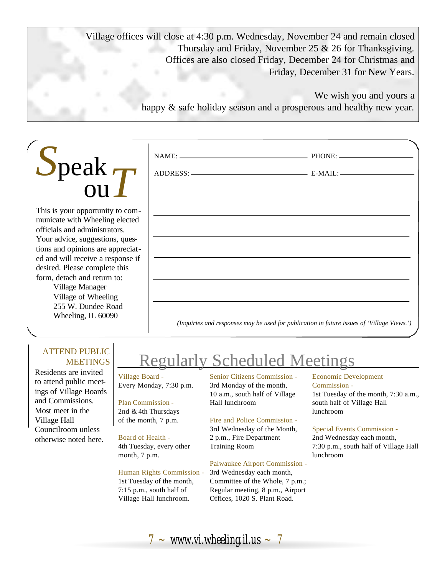Village offices will close at 4:30 p.m. Wednesday, November 24 and remain closed Thursday and Friday, November 25 & 26 for Thanksgiving. Offices are also closed Friday, December 24 for Christmas and Friday, December 31 for New Years.

> We wish you and yours a happy  $\&$  safe holiday season and a prosperous and healthy new year.

| $\sum$ peak $\tau$<br><b>OU</b> |
|---------------------------------|
|---------------------------------|

This is your opportunity to communicate with Wheeling elected officials and administrators. Your advice, suggestions, questions and opinions are appreciated and will receive a response if desired. Please complete this form, detach and return to:

Village Manager Village of Wheeling 255 W. Dundee Road Wheeling, IL 60090

|  | <u> 1988 - Ann an Dùbhlachd ann an Dùbhlachd ann an Dùbhlachd ann an Dùbhlachd ann an Dùbhlachd ann an Dùbhlachd</u> |  |
|--|----------------------------------------------------------------------------------------------------------------------|--|
|  |                                                                                                                      |  |
|  |                                                                                                                      |  |
|  |                                                                                                                      |  |
|  |                                                                                                                      |  |
|  |                                                                                                                      |  |
|  |                                                                                                                      |  |

#### ATTEND PUBLIC **MEETINGS**

Residents are invited to attend public meetings of Village Boards and Commissions. Most meet in the Village Hall Councilroom unless otherwise noted here.

### Regularly Scheduled Meetings

Village Board - Every Monday, 7:30 p.m.

#### Plan Commission - 2nd & 4th Thursdays of the month, 7 p.m.

### Board of Health -

4th Tuesday, every other month, 7 p.m.

#### Human Rights Commission - 1st Tuesday of the month,

7:15 p.m., south half of Village Hall lunchroom. Senior Citizens Commission - 3rd Monday of the month, 10 a.m., south half of Village Hall lunchroom

#### Fire and Police Commission -

3rd Wednesday of the Month, 2 p.m., Fire Department Training Room

#### Palwaukee Airport Commission -

3rd Wednesday each month, Committee of the Whole, 7 p.m.; Regular meeting, 8 p.m., Airport Offices, 1020 S. Plant Road.

#### Economic Development Commission -

1st Tuesday of the month, 7:30 a.m., south half of Village Hall lunchroom

#### Special Events Commission -

2nd Wednesday each month, 7:30 p.m., south half of Village Hall lunchroom

 $7 \sim$  *www.vi.wheeling.il.us*  $\sim 7$